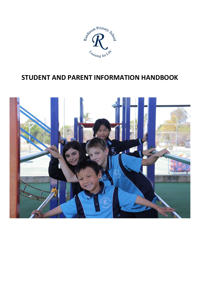

# **STUDENT AND PARENT INFORMATION HANDBOOK**

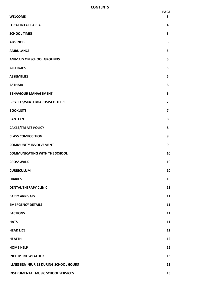#### **CONTENTS**

|                                           | <b>PAGE</b>             |
|-------------------------------------------|-------------------------|
| <b>WELCOME</b>                            | 3                       |
| <b>LOCAL INTAKE AREA</b>                  | 4                       |
| <b>SCHOOL TIMES</b>                       | 5                       |
| <b>ABSENCES</b>                           | 5                       |
| <b>AMBULANCE</b>                          | 5                       |
| <b>ANIMALS ON SCHOOL GROUNDS</b>          | 5                       |
| <b>ALLERGIES</b>                          | 5                       |
| <b>ASSEMBLIES</b>                         | 5                       |
| <b>ASTHMA</b>                             | 6                       |
| <b>BEHAVIOUR MANAGEMENT</b>               | 6                       |
| BICYCLES/SKATEBOARDS/SCOOTERS             | $\overline{\mathbf{z}}$ |
| <b>BOOKLISTS</b>                          | $\overline{\mathbf{z}}$ |
| <b>CANTEEN</b>                            | 8                       |
| <b>CAKES/TREATS POLICY</b>                | 8                       |
| <b>CLASS COMPOSITION</b>                  | 9                       |
| <b>COMMUNITY INVOLVEMENT</b>              | 9                       |
| <b>COMMUNICATING WITH THE SCHOOL</b>      | 10                      |
| <b>CROSSWALK</b>                          | 10                      |
| <b>CURRICULUM</b>                         | 10                      |
| <b>DIARIES</b>                            | 10                      |
| <b>DENTAL THERAPY CLINIC</b>              | 11                      |
| <b>EARLY ARRIVALS</b>                     | 11                      |
| <b>EMERGENCY DETAILS</b>                  | 11                      |
| <b>FACTIONS</b>                           | 11                      |
| <b>HATS</b>                               | 11                      |
| <b>HEAD LICE</b>                          | 12                      |
| <b>HEALTH</b>                             | 12                      |
| <b>HOME HELP</b>                          | 12                      |
| <b>INCLEMENT WEATHER</b>                  | 13                      |
| ILLNESSES/INJURIES DURING SCHOOL HOURS    | 13                      |
| <b>INSTRUMENTAL MUSIC SCHOOL SERVICES</b> | 13                      |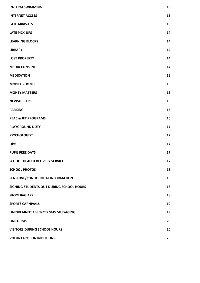| <b>IN-TERM SWIMMING</b>                   | 13 |
|-------------------------------------------|----|
| <b>INTERNET ACCESS</b>                    | 13 |
| <b>LATE ARRIVALS</b>                      | 13 |
| <b>LATE PICK-UPS</b>                      | 14 |
| <b>LEARNING BLOCKS</b>                    | 14 |
| <b>LIBRARY</b>                            | 14 |
| <b>LOST PROPERTY</b>                      | 14 |
| <b>MEDIA CONSENT</b>                      | 14 |
| <b>MEDICATION</b>                         | 15 |
| <b>MOBILE PHONES</b>                      | 15 |
| <b>MONEY MATTERS</b>                      | 16 |
| <b>NEWSLETTERS</b>                        | 16 |
| <b>PARKING</b>                            | 16 |
| <b>PEAC &amp; JET PROGRAMS</b>            | 16 |
| <b>PLAYGROUND DUTY</b>                    | 17 |
| <b>PSYCHOLOGIST</b>                       | 17 |
| Qkr!                                      | 17 |
| <b>PUPIL FREE DAYS</b>                    | 17 |
| <b>SCHOOL HEALTH DELIVERY SERVICE</b>     | 17 |
| <b>SCHOOL PHOTOS</b>                      | 18 |
| SENSITIVE/CONFIDENTIAL INFORMATION        | 18 |
| SIGNING STUDENTS OUT DURING SCHOOL HOURS  | 18 |
| <b>SKOOLBAG APP</b>                       | 18 |
| <b>SPORTS CARNIVALS</b>                   | 19 |
| <b>UNEXPLAINED ABSENCES SMS MESSAGING</b> | 19 |
| <b>UNIFORMS</b>                           | 20 |
| <b>VISITORS DURING SCHOOL HOURS</b>       | 20 |
| <b>VOLUNTARY CONTRIBUTIONS</b>            | 20 |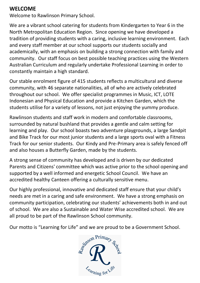#### **WELCOME**

Welcome to Rawlinson Primary School.

We are a vibrant school catering for students from Kindergarten to Year 6 in the North Metropolitan Education Region. Since opening we have developed a tradition of providing students with a caring, inclusive learning environment. Each and every staff member at our school supports our students socially and academically, with an emphasis on building a strong connection with family and community. Our staff focus on best possible teaching practices using the Western Australian Curriculum and regularly undertake Professional Learning in order to constantly maintain a high standard.

Our stable enrolment figure of 415 students reflects a multicultural and diverse community, with 46 separate nationalities, all of who are actively celebrated throughout our school. We offer specialist programmes in Music, ICT, LOTE Indonesian and Physical Education and provide a Kitchen Garden, which the students utilise for a variety of lessons, not just enjoying the yummy produce.

Rawlinson students and staff work in modern and comfortable classrooms, surrounded by natural bushland that provides a gentle and calm setting for learning and play. Our school boasts two adventure playgrounds, a large Sandpit and Bike Track for our most junior students and a large sports oval with a Fitness Track for our senior students. Our Kindy and Pre-Primary area is safely fenced off and also houses a Butterfly Garden, made by the students.

A strong sense of community has developed and is driven by our dedicated Parents and Citizens' committee which was active prior to the school opening and supported by a well informed and energetic School Council. We have an accredited healthy Canteen offering a culturally sensitive menu.

Our highly professional, innovative and dedicated staff ensure that your child's needs are met in a caring and safe environment. We have a strong emphasis on community participation, celebrating our students' achievements both in and out of school. We are also a Sustainable and Water Wise accredited school. We are all proud to be part of the Rawlinson School community.

Our motto is "Learning for Life" and we are proud to be a Government School.

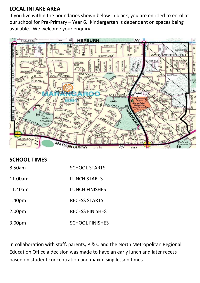### **LOCAL INTAKE AREA**

If you live within the boundaries shown below in black, you are entitled to enrol at our school for Pre-Primary – Year 6. Kindergarten is dependent on spaces being available. We welcome your enquiry.



#### **SCHOOL TIMES**

| 8.50am             | <b>SCHOOL STARTS</b>   |
|--------------------|------------------------|
| 11.00am            | <b>LUNCH STARTS</b>    |
| 11.40am            | <b>LUNCH FINISHES</b>  |
| 1.40 <sub>pm</sub> | <b>RECESS STARTS</b>   |
| 2.00 <sub>pm</sub> | <b>RECESS FINISHES</b> |
| 3.00pm             | <b>SCHOOL FINISHES</b> |

In collaboration with staff, parents, P & C and the North Metropolitan Regional Education Office a decision was made to have an early lunch and later recess based on student concentration and maximising lesson times.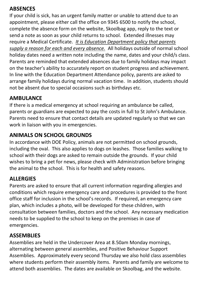#### **ABSENCES**

If your child is sick, has an urgent family matter or unable to attend due to an appointment, please either call the office on 9345 6500 to notify the school, complete the absence form on the website, Skoolbag app, reply to the text or send a note as soon as your child returns to school. Extended illnesses may require a Medical Certificate. *It is Education Department policy that parents supply a reason for each and every absence.* All holidays outside of normal school holiday dates need a written note including the name, dates and your child/s class. Parents are reminded that extended absences due to family holidays may impact on the teacher's ability to accurately report on student progress and achievement. In line with the Education Department Attendance policy, parents are asked to arrange family holidays during normal vacation time. In addition, students should not be absent due to special occasions such as birthdays etc.

#### **AMBULANCE**

If there is a medical emergency at school requiring an ambulance be called, parents or guardians are expected to pay the costs in full to St John's Ambulance. Parents need to ensure that contact details are updated regularly so that we can work in liaison with you in emergencies.

### **ANIMALS ON SCHOOL GROUNDS**

In accordance with DOE Policy, animals are not permitted on school grounds, including the oval. This also applies to dogs on leashes. Those families walking to school with their dogs are asked to remain outside the grounds. If your child wishes to bring a pet for news, please check with Administration before bringing the animal to the school. This is for health and safety reasons.

### **ALLERGIES**

Parents are asked to ensure that all current information regarding allergies and conditions which require emergency care and procedures is provided to the front office staff for inclusion in the school's records. If required, an emergency care plan, which includes a photo, will be developed for these children, with consultation between families, doctors and the school. Any necessary medication needs to be supplied to the school to keep on the premises in case of emergencies.

#### **ASSEMBLIES**

Assemblies are held in the Undercover Area at 8.50am Monday mornings, alternating between general assemblies, and Positive Behaviour Support Assemblies. Approximately every second Thursday we also hold class assemblies where students perform their assembly items. Parents and family are welcome to attend both assemblies. The dates are available on Skoolbag, and the website.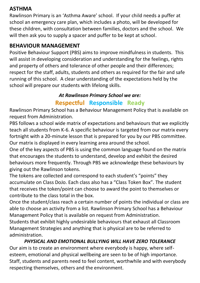#### **ASTHMA**

Rawlinson Primary is an 'Asthma Aware' school. If your child needs a puffer at school an emergency care plan, which includes a photo, will be developed for these children, with consultation between families, doctors and the school. We will then ask you to supply a spacer and puffer to be kept at school.

#### **BEHAVIOUR MANAGEMENT**

Positive Behaviour Support (PBS) aims to improve mindfulness in students. This will assist in developing consideration and understanding for the feelings, rights and property of others and tolerance of other people and their differences; respect for the staff, adults, students and others as required for the fair and safe running of this school. A clear understanding of the expectations held by the school will prepare our students with lifelong skills.

#### *At Rawlinson Primary School we are:*

### **Respectful Responsible Ready**

Rawlinson Primary School has a Behaviour Management Policy that is available on request from Administration.

PBS follows a school wide matrix of expectations and behaviours that we explicitly teach all students from K-6. A specific behaviour is targeted from our matrix every fortnight with a 20-minute lesson that is prepared for you by our PBS committee. Our matrix is displayed in every learning area around the school.

One of the key aspects of PBS is using the common language found on the matrix that encourages the students to understand, develop and exhibit the desired behaviours more frequently. Through PBS we acknowledge these behaviours by giving out the Rawlinson tokens.

The tokens are collected and correspond to each student's "points" they accumulate on Class DoJo. Each class also has a "Class Token Box". The student that receives the token/point can choose to award the point to themselves or contribute to the class total in the box.

Once the student/class reach a certain number of points the individual or class are able to choose an activity from a list. Rawlinson Primary School has a Behaviour Management Policy that is available on request from Administration. Students that exhibit highly undesirable behaviours that exhaust all Classroom Management Strategies and anything that is physical are to be referred to administration.

*PHYSICAL AND EMOTIONAL BULLYING WILL HAVE ZERO TOLERANCE* Our aim is to create an environment where everybody is happy, where selfesteem, emotional and physical wellbeing are seen to be of high importance. Staff, students and parents need to feel content, worthwhile and with everybody respecting themselves, others and the environment.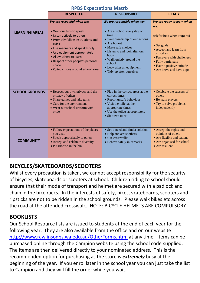|  | <b>RPBS Expectations Matrix</b> |  |
|--|---------------------------------|--|
|--|---------------------------------|--|

|                       | <b>RESPECTFUL</b>                                                                                                                                                                                                                                                                                                      | <b>RESPONSIBLE</b>                                                                                                                                                                                                                                                                        | <b>READY</b>                                                                                                                                                                                                                                   |
|-----------------------|------------------------------------------------------------------------------------------------------------------------------------------------------------------------------------------------------------------------------------------------------------------------------------------------------------------------|-------------------------------------------------------------------------------------------------------------------------------------------------------------------------------------------------------------------------------------------------------------------------------------------|------------------------------------------------------------------------------------------------------------------------------------------------------------------------------------------------------------------------------------------------|
| <b>LEARNING AREAS</b> | We are respectful when we:<br>. Wait our turn to speak<br>• Listen actively to others<br>• Promptly follow instructions and<br>rules<br>• Use manners and speak kindly<br>• Use equipment appropriately<br>· Allow others to learn<br>• Respect other people's personal<br>space<br>. Quietly move around school areas | We are responsible when we:<br>• Are at school every day on<br>time<br>• Take ownership of our actions<br>• Are honest<br>• Make safe choices<br>• Listen to and look after our<br>body<br>• Walk quietly around the<br>school<br>• Look after all equipment<br>• Tidy up after ourselves | We are ready to learn when<br>we:<br>Ask for help when required<br>$\bullet$ Set goals<br>• Accept and learn from<br>mistakes<br>• Persevere with challenges<br>• Fully participate<br>• Have a positive attitude<br>• Are brave and have a go |
| <b>SCHOOL GROUNDS</b> | • Respect our own privacy and the<br>privacy of others<br>• Share games and take turns<br>• Care for the environment<br>• Wear our school uniform with<br>pride                                                                                                                                                        | • Play in the correct areas at the<br>correct times<br>• Report unsafe behaviour<br>• Visit the toilet at the<br>appropriate times<br>• Use the toilets appropriately<br>• Sit down to eat                                                                                                | • Celebrate the success of<br><i>others</i><br>• Be team players<br>• Try to solve problems<br>independently                                                                                                                                   |
| <b>COMMUNITY</b>      | • Follow expectations of the places<br>you visit<br>• Speak appropriately to others<br>• Accept and celebrate diversity<br>• Put rubbish in the bin                                                                                                                                                                    | • See a need and find a solution<br>• Help and assist others<br>• Use crosswalks<br>• Behave safely in carparks                                                                                                                                                                           | • Accept the rights and<br>opinions of others<br>• Are flexible and patient<br>• Are organised for school<br>• Are resilient                                                                                                                   |

### **BICYCLES/SKATEBOARDS/SCOOTERS**

Whilst every precaution is taken, we cannot accept responsibility for the security of bicycles, skateboards or scooters at school. Children riding to school should ensure that their mode of transport and helmet are secured with a padlock and chain in the bike racks. In the interests of safety, bikes, skateboards, scooters and ripsticks are not to be ridden in the school grounds. Please walk bikes etc across the road at the attended crosswalk. NOTE: BICYCLE HELMETS ARE COMPULSORY!

#### **BOOKLISTS**

Our School Resource lists are issued to students at the end of each year for the following year. They are also available from the office and on our website <http://www.rawlinsonps.wa.edu.au/OtherForms.html> at any time. Items can be purchased online through the Campion website using the school code supplied. The items are then delivered directly to your nominated address. This is the recommended option for purchasing as the store is *extremely* busy at the beginning of the year. If you enrol later in the school year you can just take the list to Campion and they will fill the order while you wait.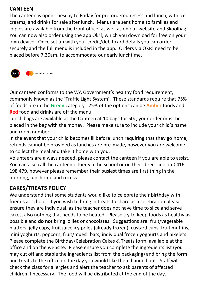#### **CANTEEN**

The canteen is open Tuesday to Friday for pre-ordered recess and lunch, with ice creams, and drinks for sale after lunch. Menus are sent home to families and copies are available from the front office, as well as on our website and Skoolbag. You can now also order using the app Qkr!, which you download for free on your own device. Once set up with your credit/debit card details you can order securely and the full menu is included in the app. Orders via QKR! need to be placed before 7.30am, to accommodate our early lunchtime.



Our canteen conforms to the WA Government's healthy food requirement, commonly known as the 'Traffic Light System'. These standards require that 75% of foods are in the **Green** category. 25% of the options can be **Amber** foods and **Red** food and drinks are off the menu.

Lunch bags are available at the Canteen at 10 bags for 50c, your order must be placed in the bag with the money. Please make sure to include your child's name and room number.

In the event that your child becomes ill before lunch requiring that they go home, refunds cannot be provided as lunches are pre-made, however you are welcome to collect the meal and take it home with you.

Volunteers are always needed, please contact the canteen if you are able to assist. You can also call the canteen either via the school or on their direct line on 0416 198 479, however please remember their busiest times are first thing in the morning, lunchtime and recess.

### **CAKES/TREATS POLICY**

We understand that some students would like to celebrate their birthday with friends at school. If you wish to bring in treats to share as a celebration please ensure they are individual, as the teacher does not have time to slice and serve cakes, also nothing that needs to be heated. Please try to keep foods as healthy as possible and **do not** bring lollies or chocolates. Suggestions are: fruit/vegetable platters, jelly cups, fruit juice icy poles (already frozen), custard cups, fruit muffins, mini yoghurts, popcorn, fruit/muesli bars, individual frozen yoghurts and pikelets. Please complete the Birthday/Celebration Cakes & Treats form, available at the office and on the website. Please ensure you complete the ingredients list (you may cut off and staple the ingredients list from the packaging) and bring the form and treats to the office on the day you would like them handed out. Staff will check the class for allergies and alert the teacher to ask parents of affected children if necessary. The food will be distributed at the end of the day.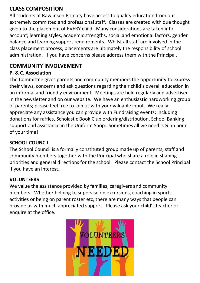### **CLASS COMPOSITION**

All students at Rawlinson Primary have access to quality education from our extremely committed and professional staff. Classes are created with due thought given to the placement of EVERY child. Many considerations are taken into account; learning styles, academic strengths, social and emotional factors, gender balance and learning support requirements. Whilst all staff are involved in the class placement process, placements are ultimately the responsibility of school administration. If you have concerns please address them with the Principal.

### **COMMUNITY INVOLVEMENT**

#### **P. & C. Association**

The Committee gives parents and community members the opportunity to express their views, concerns and ask questions regarding their child's overall education in an informal and friendly environment. Meetings are held regularly and advertised in the newsletter and on our website. We have an enthusiastic hardworking group of parents; please feel free to join us with your valuable input. We really appreciate any assistance you can provide with Fundraising events; including donations for raffles, Scholastic Book Club ordering/distribution, School Banking support and assistance in the Uniform Shop. Sometimes all we need is ½ an hour of your time!

#### **SCHOOL COUNCIL**

The School Council is a formally constituted group made up of parents, staff and community members together with the Principal who share a role in shaping priorities and general directions for the school. Please contact the School Principal if you have an interest.

#### **VOLUNTEERS**

We value the assistance provided by families, caregivers and community members. Whether helping to supervise on excursions, coaching in sports activities or being on parent roster etc, there are many ways that people can provide us with much appreciated support. Please ask your child's teacher or enquire at the office.

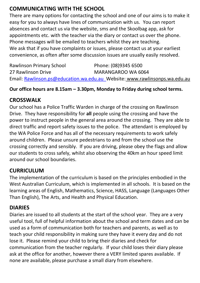### **COMMUNICATING WITH THE SCHOOL**

There are many options for contacting the school and one of our aims is to make it easy for you to always have lines of communication with us. You can report absences and contact us via the website, sms and the Skoolbag app, ask for appointments etc. with the teacher via the diary or contact us over the phone. Phone messages will be emailed to teachers whilst they are teaching. We ask that if you have complaints or issues, please contact us at your earliest convenience, as often after some discussion issues are usually easily resolved.

| <b>Rawlinson Primary School</b> | Phone: (08)9345 6500                                                       |
|---------------------------------|----------------------------------------------------------------------------|
| 27 Rawlinson Drive              | MARANGAROO WA 6064                                                         |
|                                 | Email: Rawlinson.ps@education.wa.edu.au Website: www.rawlinsonps.wa.edu.au |

#### **Our office hours are 8.15am – 3.30pm, Monday to Friday during school terms.**

#### **CROSSWALK**

Our school has a Police Traffic Warden in charge of the crossing on Rawlinson Drive. They have responsibility for **all** people using the crossing and have the power to instruct people in the general area around the crossing. They are able to direct traffic and report safety issues to the police. The attendant is employed by the WA Police Force and has all of the necessary requirements to work safely around children. Please unsure pedestrians to and from the school use the crossing correctly and sensibly. If you are driving, please obey the flags and allow our students to cross safely, whilst also observing the 40km an hour speed limit around our school boundaries.

#### **CURRICULUM**

The implementation of the curriculum is based on the principles embodied in the West Australian Curriculum, which is implemented in all schools. It is based on the learning areas of English, Mathematics, Science, HASS, Language (Languages Other Than English), The Arts, and Health and Physical Education.

#### **DIARIES**

Diaries are issued to all students at the start of the school year. They are a very useful tool, full of helpful information about the school and term dates and can be used as a form of communication both for teachers and parents, as well as to teach your child responsibility in making sure they have it every day and do not lose it. Please remind your child to bring their diaries and check for communication from the teacher regularly. If your child loses their diary please ask at the office for another, however there a VERY limited spares available. If none are available, please purchase a small diary from elsewhere.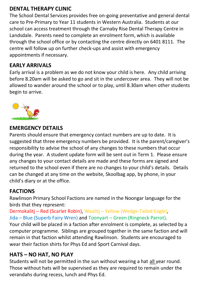### **DENTAL THERAPY CLINIC**

The School Dental Services provides free on-going preventative and general dental care to Pre-Primary to Year 11 students in Western Australia. Students at our school can access treatment through the Carnaby Rise Dental Therapy Centre in Landsdale. Parents need to complete an enrolment form, which is available through the school office or by contacting the centre directly on 6401 8111. The centre will follow up on further check-ups and assist with emergency appointments if necessary.

### **EARLY ARRIVALS**

Early arrival is a problem as we do not know your child is here. Any child arriving before 8.20am will be asked to go and sit in the undercover area. They will not be allowed to wander around the school or to play, until 8.30am when other students begin to arrive.



#### **EMERGENCY DETAILS**

Parents should ensure that emergency contact numbers are up to date. It is suggested that three emergency numbers be provided. It is the parent/caregiver's responsibility to advise the school of any changes to these numbers that occur during the year. A student update form will be sent out in Term 1. Please ensure any changes to your contact details are made and these forms are signed and returned to the school even if there are no changes to your child's details. Details can be changed at any time on the website, Skoolbag app, by phone, in your child's diary or at the office.

#### **FACTIONS**

Rawlinson Primary School Factions are named in the Noongar language for the birds that they represent:

Dermokalitj – Red (Scarlet Robin), Waalitj – Yellow (Wedge-Tailed Eagle), Jida – Blue (Superb Fairy Wren) and Toonyart – Green (Ringneck Parrot).

Your child will be placed in a faction after enrolment is complete, as selected by a computer programme. Siblings are grouped together in the same faction and will remain in that faction whilst attending Rawlinson. Students are encouraged to wear their faction shirts for Phys Ed and Sport Carnival days.

#### **HATS – NO HAT, NO PLAY**

Students will not be permitted in the sun without wearing a hat all year round. Those without hats will be supervised as they are required to remain under the verandahs during recess, lunch and Phys Ed.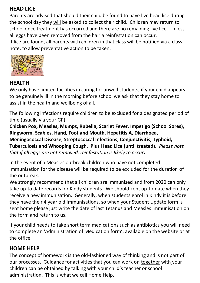### **HEAD LICE**

Parents are advised that should their child be found to have live head lice during the school day they will be asked to collect their child. Children may return to school once treatment has occurred and there are no remaining live lice. Unless all eggs have been removed from the hair a reinfestation can occur.

If lice are found, all parents with children in that class will be notified via a class note, to allow preventative action to be taken.



#### **HEALTH**

We only have limited facilities in caring for unwell students, if your child appears to be genuinely ill in the morning before school we ask that they stay home to assist in the health and wellbeing of all.

The following infections require children to be excluded for a designated period of time (usually via your GP):

**Chicken Pox, Measles, Mumps, Rubella, Scarlet Fever, Impetigo (School Sores), Ringworm, Scabies, Hand, Foot and Mouth, Hepatitis A, Diarrhoea, Meningococcal Disease, Streptococcal Infections, Conjunctivitis, Typhoid, Tuberculosis and Whooping Cough. Plus Head Lice (until treated).** *Please note that if all eggs are not removed, reinfestation is likely to occur***.** 

In the event of a Measles outbreak children who have not completed immunisation for the disease will be required to be excluded for the duration of the outbreak.

We strongly recommend that all children are immunised and from 2020 can only take up-to date records for Kindy students. We should kept up-to-date when they receive a new immunisation. Generally, when students enrol in Kindy it is before they have their 4 year old immunisations, so when your Student Update form is sent home please just write the date of last Tetanus and Measles immunisation on the form and return to us.

If your child needs to take short term medications such as antibiotics you will need to complete an 'Administration of Medication form', available on the website or at the office.

#### **HOME HELP**

The concept of homework is the old-fashioned way of thinking and is not part of our processes. Guidance for activities that you can work on together with your children can be obtained by talking with your child's teacher or school administration. This is what we call Home Help.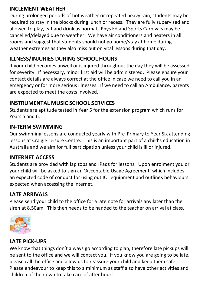### **INCLEMENT WEATHER**

During prolonged periods of hot weather or repeated heavy rain, students may be required to stay in the blocks during lunch or recess. They are fully supervised and allowed to play, eat and drink as normal. Phys Ed and Sports Carnivals may be cancelled/delayed due to weather. We have air conditioners and heaters in all rooms and suggest that students should not go home/stay at home during weather extremes as they also miss out on vital lessons during that day.

### **ILLNESS/INJURIES DURING SCHOOL HOURS**

If your child becomes unwell or is injured throughout the day they will be assessed for severity. If necessary, minor first aid will be administered. Please ensure your contact details are always correct at the office in case we need to call you in an emergency or for more serious illnesses. If we need to call an Ambulance, parents are expected to meet the costs involved.

#### **INSTRUMENTAL MUSIC SCHOOL SERVICES**

Students are aptitude tested in Year 5 for the extension program which runs for Years 5 and 6.

#### **IN-TERM SWIMMING**

Our swimming lessons are conducted yearly with Pre-Primary to Year Six attending lessons at Craigie Leisure Centre. This is an important part of a child's education in Australia and we aim for full participation unless your child is ill or injured.

#### **INTERNET ACCESS**

Students are provided with lap tops and IPads for lessons. Upon enrolment you or your child will be asked to sign an 'Acceptable Usage Agreement' which includes an expected code of conduct for using out ICT equipment and outlines behaviours expected when accessing the internet.

### **LATE ARRIVALS**

Please send your child to the office for a late note for arrivals any later than the siren at 8.50am. This then needs to be handed to the teacher on arrival at class.



### **LATE PICK-UPS**

We know that things don't always go according to plan, therefore late pickups will be sent to the office and we will contact you. If you know you are going to be late, please call the office and allow us to reassure your child and keep them safe. Please endeavour to keep this to a minimum as staff also have other activities and children of their own to take care of after hours.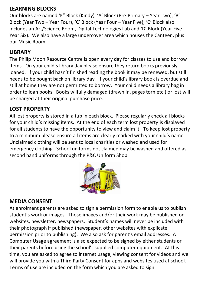### **LEARNING BLOCKS**

Our blocks are named 'K" Block (Kindy), 'A' Block (Pre-Primary – Year Two), 'B' Block (Year Two – Year Four), 'C' Block (Year Four – Year Five), 'C' Block also includes an Art/Science Room, Digital Technologies Lab and 'D' Block (Year Five – Year Six). We also have a large undercover area which houses the Canteen, plus our Music Room.

#### **LIBRARY**

The Philip Moon Resource Centre is open every day for classes to use and borrow items. On your child's library day please ensure they return books previously loaned. If your child hasn't finished reading the book it may be renewed, but still needs to be bought back on library day. If your child's library book is overdue and still at home they are not permitted to borrow. Your child needs a library bag in order to loan books. Books wilfully damaged (drawn in, pages torn etc.) or lost will be charged at their original purchase price.

#### **LOST PROPERTY**

All lost property is stored in a tub in each block. Please regularly check all blocks for your child's missing items. At the end of each term lost property is displayed for all students to have the opportunity to view and claim it. To keep lost property to a minimum please ensure all items are clearly marked with your child's name. Unclaimed clothing will be sent to local charities or washed and used for emergency clothing. School uniforms not claimed may be washed and offered as second hand uniforms through the P&C Uniform Shop.



#### **MEDIA CONSENT**

At enrolment parents are asked to sign a permission form to enable us to publish student's work or images. Those images and/or their work may be published on websites, newsletter, newspapers. Student's names will never be included with their photograph if published (newspaper, other websites with explicate permission prior to publishing). We also ask for parent's email addresses. A Computer Usage agreement is also expected to be signed by either students or their parents before using the school's supplied computer equipment. At this time, you are asked to agree to internet usage, viewing consent for videos and we will provide you with a Third Party Consent for apps and websites used at school. Terms of use are included on the form which you are asked to sign.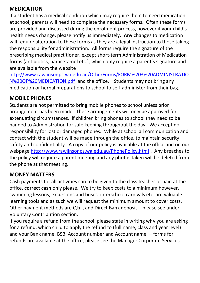#### **MEDICATION**

If a student has a medical condition which may require them to need medication at school, parents will need to complete the necessary forms. Often these forms are provided and discussed during the enrolment process, however if your child's health needs change, please notify us immediately. **Any** changes to medication will require alteration to these forms as they are a legal instruction to those taking the responsibility for administration. All forms require the signature of the prescribing medical practitioner, except short-term Administration of Medication forms (antibiotics, paracetamol etc.), which only require a parent's signature and are available from the website

[http://www.rawlinsonps.wa.edu.au/OtherForms/FORM%203%20ADMINISTRATIO](http://www.rawlinsonps.wa.edu.au/OtherForms/FORM%203%20ADMINISTRATION%20OF%20MEDICATION.pdf) [N%20OF%20MEDICATION.pdf](http://www.rawlinsonps.wa.edu.au/OtherForms/FORM%203%20ADMINISTRATION%20OF%20MEDICATION.pdf) and the office. Students may not bring any medication or herbal preparations to school to self-administer from their bag.

#### **MOBILE PHONES**

Students are not permitted to bring mobile phones to school unless prior arrangement has been made. These arrangements will only be approved for extenuating circumstances. If children bring phones to school they need to be handed to Administration for safe keeping throughout the day. We accept no responsibility for lost or damaged phones. While at school all communication and contact with the student will be made through the office, to maintain security, safety and confidentiality. A copy of our policy is available at the office and on our webpage <http://www.rawlinsonps.wa.edu.au/PhonePolicy.html> . Any breaches to the policy will require a parent meeting and any photos taken will be deleted from the phone at that meeting.

#### **MONEY MATTERS**

Cash payments for all activities can to be given to the class teacher or paid at the office, **correct cash** only please. We try to keep costs to a minimum however, swimming lessons, excursions and buses, interschool carnivals etc. are valuable learning tools and as such we will request the minimum amount to cover costs. Other payment methods are Qkr!, and Direct Bank deposit – please see under Voluntary Contribution section.

If you require a refund from the school, please state in writing why you are asking for a refund, which child to apply the refund to (full name, class and year level) and your Bank name, BSB, Account number and Account name. – forms for refunds are available at the office, please see the Manager Corporate Services.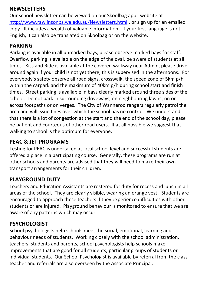### **NEWSLETTERS**

Our school newsletter can be viewed on our Skoolbag app , website at <http://www.rawlinsonps.wa.edu.au/Newsletters.html> , or sign up for an emailed copy. It includes a wealth of valuable information. If your first language is not English, it can also be translated on Skoolbag or on the website.

#### **PARKING**

Parking is available in all unmarked bays, please observe marked bays for staff. Overflow parking is available on the edge of the oval, be aware of students at all times. Kiss and Ride is available at the covered walkway near Admin, please drive around again if your child is not yet there, this is supervised in the afternoons. For everybody's safety observe all road signs, crosswalk, the speed zone of 5km p/h within the carpark and the maximum of 40km p/h during school start and finish times. Street parking is available in bays clearly marked around three sides of the school. Do not park in surrounding driveways, on neighbouring lawns, on or across footpaths or on verges. The City of Wanneroo rangers regularly patrol the area and will issue fines over which the school has no control. We understand that there is a lot of congestion at the start and the end of the school day, please be patient and courteous of other road users. If at all possible we suggest that walking to school is the optimum for everyone.

### **PEAC & JET PROGRAMS**

Testing for PEAC is undertaken at local school level and successful students are offered a place in a participating course. Generally, these programs are run at other schools and parents are advised that they will need to make their own transport arrangements for their children.

### **PLAYGROUND DUTY**

Teachers and Education Assistants are rostered for duty for recess and lunch in all areas of the school. They are clearly visible, wearing an orange vest. Students are encouraged to approach these teachers if they experience difficulties with other students or are injured. Playground behaviour is monitored to ensure that we are aware of any patterns which may occur.

### **PSYCHOLOGIST**

School psychologists help schools meet the social, emotional, learning and behaviour needs of students. Working closely with the school administration, teachers, students and parents, school psychologists help schools make improvements that are good for all students, particular groups of students or individual students. Our School Psychologist is available by referral from the class teacher and referrals are also overseen by the Associate Principal.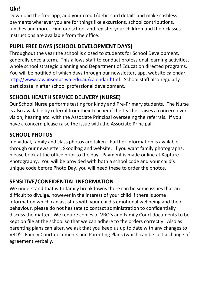### **Qkr!**

Download the free app, add your credit/debit card details and make cashless payments wherever you are for things like excursions, school contributions, lunches and more. Find our school and register your children and their classes. Instructions are available from the office.

# **PUPIL FREE DAYS (SCHOOL DEVELOPMENT DAYS)**

Throughout the year the school is closed to students for School Development, generally once a term. This allows staff to conduct professional learning activities, whole school strategic planning and Department of Education directed programs. You will be notified of which days through our newsletter, app, website calendar [http://www.rawlinsonps.wa.edu.au/calendar.html.](http://www.rawlinsonps.wa.edu.au/calendar.html) School staff also regularly participate in after school professional development.

# **SCHOOL HEALTH SERVICE DELIVERY (NURSE)**

Our School Nurse performs testing for Kindy and Pre-Primary students. The Nurse is also available by referral from their teacher if the teacher raises a concern over vision, hearing etc. with the Associate Principal overseeing the referrals. If you have a concern please raise the issue with the Associate Principal.

### **SCHOOL PHOTOS**

Individual, family and class photos are taken. Further information is available through our newsletter, Skoolbag and website. If you want family photographs, please book at the office prior to the day. Payment is made online at Kapture Photography. You will be provided with both a school code and your child's unique code before Photo Day, you will need these to order the photos.

## **SENSITIVE/CONFIDENTIAL INFORMATION**

We understand that with family breakdowns there can be some issues that are difficult to divulge, however in the interest of your child if there is some information which can assist us with your child's emotional wellbeing and their behaviour, please do not hesitate to contact administration to confidentially discuss the matter. We require copies of VRO's and Family Court documents to be kept on file at the school so that we can adhere to the orders correctly. Also as parenting plans can alter, we ask that you keep us up to date with any changes to VRO's, Family Court documents and Parenting Plans (which can be just a change of agreement verbally.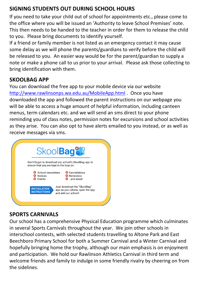### **SIGNING STUDENTS OUT DURING SCHOOL HOURS**

If you need to take your child out of school for appointments etc., please come to the office where you will be issued an 'Authority to leave School Premises' note. This then needs to be handed to the teacher in order for them to release the child to you. Please bring documents to identify yourself.

If a friend or family member is not listed as an emergency contact it may cause some delay as we will phone the parents/guardians to verify before the child will be released to you. An easier way would be for the parent/guardian to supply a note or make a phone call to us prior to your arrival. Please ask those collecting to bring identification with them.

#### **SKOOLBAG APP**

You can download the free app to your mobile device via our website <http://www.rawlinsonps.wa.edu.au/MobileApp.html> . Once you have downloaded the app and followed the parent instructions on our webpage you will be able to access a huge amount of helpful information, including canteen menus, term calendars etc. and we will send an sms direct to your phone reminding you of class notes, permission notes for excursions and school activities as they arise. You can also opt to have alerts emailed to you instead, or as well as receive messages via sms.



### **SPORTS CARNIVALS**

Our school has a comprehensive Physical Education programme which culminates in several Sports Carnivals throughout the year. We join other schools in interschool contests, with selected students travelling to Altone Park and East Beechboro Primary School for both a Summer Carnival and a Winter Carnival and hopefully bringing home the trophy, although our main emphasis is on enjoyment and participation. We hold our Rawlinson Athletics Carnival in third term and welcome friends and family to indulge in some friendly rivalry by cheering on from the sidelines.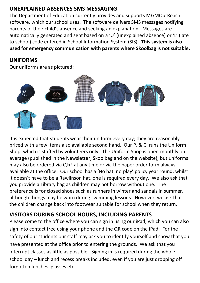### **UNEXPLAINED ABSENCES SMS MESSAGING**

The Department of Education currently provides and supports MGMOutReach software, which our school uses. The software delivers SMS messages notifying parents of their child's absence and seeking an explanation. Messages are automatically generated and sent based on a 'U' (unexplained absence) or 'L' (late to school) code entered in School Information System (SIS). **This system is also used for emergency communication with parents where Skoolbag is not suitable.**

#### **UNIFORMS**

Our uniforms are as pictured:



It is expected that students wear their uniform every day; they are reasonably priced with a few items also available second hand. Our P. & C. runs the Uniform Shop, which is staffed by volunteers only. The Uniform Shop is open monthly on average (published in the Newsletter, Skoolbag and on the website), but uniforms may also be ordered via Qkr! at any time or via the paper order form always available at the office. Our school has a 'No hat, no play' policy year round, whilst it doesn't have to be a Rawlinson hat, one is required every day. We also ask that you provide a Library bag as children may not borrow without one. The preference is for closed shoes such as runners in winter and sandals in summer, although thongs may be worn during swimming lessons. However, we ask that the children change back into footwear suitable for school when they return.

### **VISITORS DURING SCHOOL HOURS, INCLUDING PARENTS**

Please come to the office where you can sign in using our iPad, which you can also sign into contact free using your phone and the QR code on the iPad. For the safety of our students our staff may ask you to identify yourself and show that you have presented at the office prior to entering the grounds. We ask that you interrupt classes as little as possible. Signing in is required during the whole school day – lunch and recess breaks included, even if you are just dropping off forgotten lunches, glasses etc.